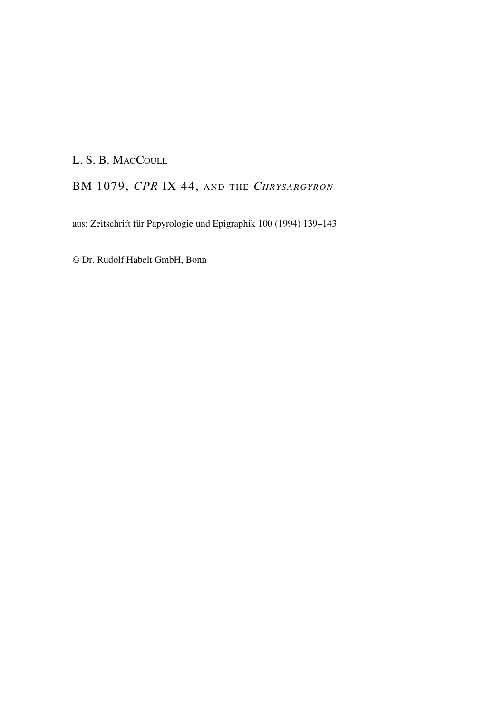## L. S. B. MACCOULL

## BM 1079, *CPR* IX 44, AND THE *CHRYSARGYRON*

aus: Zeitschrift für Papyrologie und Epigraphik 100 (1994) 139–143

© Dr. Rudolf Habelt GmbH, Bonn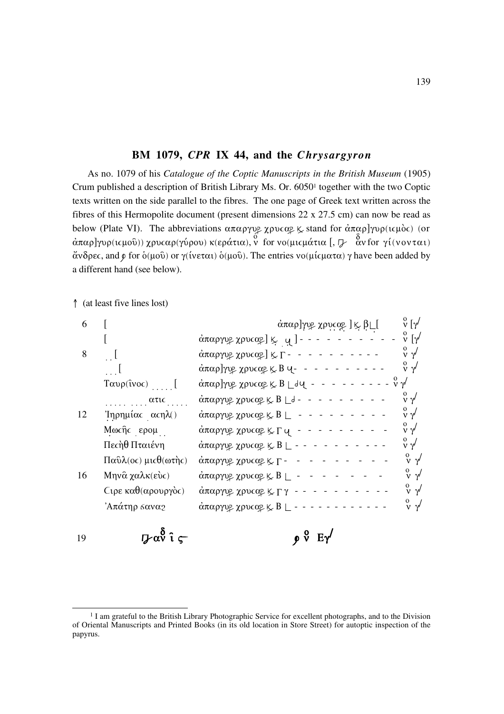## BM 1079, CPR IX 44, and the Chrysargyron

As no. 1079 of his Catalogue of the Coptic Manuscripts in the British Museum (1905) Crum published a description of British Library Ms. Or. 6050<sup>1</sup> together with the two Coptic texts written on the side parallel to the fibres. The one page of Greek text written across the fibres of this Hermopolite document (present dimensions  $22 \times 27.5$  cm) can now be read as below (Plate VI). The abbreviations απαργυ<br/>ε χρυταρ & stand for άπαρ]γυρ(ιτμός) (or άπαρ]γυρ(ιτμού)) χρυταρ(γύρου) κ<br/>(εράτια), ν for νο(μιτμάτια [,  $\frac{\delta}{\nu}$  αν for γί(νονται) άνδρες, and φ for δ(μού) or γ(ίνεται) δ(μού). The entries νο(μίς ματα) γ have been added by a different hand (see below).

1 (at least five lines lost)

19

| 6  |                                               | άπαρ]γυβ χρυςαβ ] ķ β∟[                                                  | $\stackrel{\rm o}{\rm v}$ $[\gamma^/$                      |
|----|-----------------------------------------------|--------------------------------------------------------------------------|------------------------------------------------------------|
|    |                                               | $\alpha$ παργυρ χρυσαρ] $\kappa$ q ] - - -                               | $\stackrel{\rm o}{\rm v}$ $\stackrel{\rm o}{\rm l}\gamma'$ |
| 8  |                                               | άπαργυρ χρυσαρ] $K_{\Gamma}$ - - - - - - - - - -                         | $\begin{smallmatrix} 0 \\ V & \gamma' \end{smallmatrix}$   |
| 12 |                                               | $\alpha$ παρ]γυρ χρυταρ $\ltimes$ Β $\vee$ - -                           | $\begin{smallmatrix} 0 \\ V & \gamma' \end{smallmatrix}$   |
|    | $T\alpha\nu\rho(\hat{\imath}\nu o\epsilon)$ [ | $- - - - - - - - \sqrt{2}$<br>άπαρ]γυε χρυταε κ Β Ldu -                  |                                                            |
|    | ατις                                          | $\alpha$ παργυ<br>β χρυσαβ $\ltimes$ Β $\lfloor$ d - - - - - - - - -     | $\int \sqrt{v}$                                            |
|    | 'Inρημίας αςηλ()                              |                                                                          | $\frac{0}{\nu}$ $\gamma'$                                  |
|    | Μωςῆς ερομ                                    | $\alpha$ παργυ<br>β χρυσαβ $\mathbb{K}$ Γ $\mathbb{Q}$ - - - - - - - - - | $\int \sqrt{v}$                                            |
|    | Πεςήθ Πταιένη                                 | άπαργυ<br>β χρυσαβ $\mathcal{L}$ B $\mathcal{L}$ - - - - - - - - - - -   | $\int v \gamma'$                                           |
|    | $\Pi$ αΰλ(ος) μιςθ(ωτής)                      | $\alpha$ παργυβ χρυσαβ   Γ - -                                           | $\begin{smallmatrix} 0 \\ V & \gamma' \end{smallmatrix}$   |
| 16 | Μηνα χαλκ(εύς)                                | $\alpha$ παργυ<br>β χρυσαβ $\ltimes$ B $\perp$ - - - - - - - -           | $\begin{smallmatrix} 0 \\ V & \gamma' \end{smallmatrix}$   |
|    | $C$ ιρε καθ(αρουργός)                         | $\alpha$ παργυρ χρυσαρ $\kappa \Gamma$ γ - - - -                         | $\int \sqrt{v}$                                            |
|    | Άπάτηρ σανα2                                  | $\alpha$ παργυρ χρυταρ $\ltimes$ Β $\perp$ - - - -                       | $\begin{smallmatrix} 0 \\ V & \gamma' \end{smallmatrix}$   |
| 19 | γαν î                                         | $\rho \nu$                                                               |                                                            |

<sup>&</sup>lt;sup>1</sup> I am grateful to the British Library Photographic Service for excellent photographs, and to the Division of Oriental Manuscripts and Printed Books (in its old location in Store Street) for autoptic inspection of the papyrus.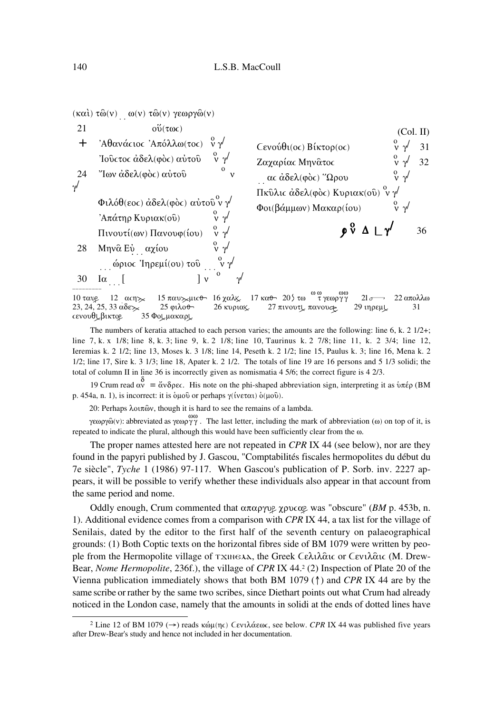



The numbers of keratia attached to each person varies; the amounts are the following: line 6, k. 2  $1/2+$ ; line 7, k. x 1/8; line 8, k. 3; line 9, k. 2 1/8; line 10, Taurinus k. 2 7/8; line 11, k. 2 3/4; line 12, Ieremias k. 2 1/2; line 13, Moses k. 3 1/8; line 14, Peseth k. 2 1/2; line 15, Paulus k. 3; line 16, Mena k. 2 1/2; line 17, Sire k. 3 1/3; line 18, Apater k. 2 1/2. The totals of line 19 are 16 persons and 5 1/3 solidi; the total of column II in line 36 is incorrectly given as nomismatia  $4\frac{5}{6}$ ; the correct figure is  $4\frac{2}{3}$ .

19 Crum read  $\alpha$ <sup>o</sup> = άνδρες. His note on the phi-shaped abbreviation sign, interpreting it as υπέρ (BM p. 454a, n. 1), is incorrect: it is δικού or perhaps  $\gamma$ (ίνεται) δ(μού).

20: Perhaps λοιπῶν, though it is hard to see the remains of a lambda.

γεωργῶ(ν): abbreviated as γεωργ $\gamma$ . The last letter, including the mark of abbreviation (ω) on top of it, is repeated to indicate the plural, although this would have been sufficiently clear from the  $\omega$ .

The proper names attested here are not repeated in CPR IX 44 (see below), nor are they found in the papyri published by J. Gascou, "Comptabilités fiscales hermopolites du début du 7e siècle", Tyche 1 (1986) 97-117. When Gascou's publication of P. Sorb. inv. 2227 appears, it will be possible to verify whether these individuals also appear in that account from the same period and nome.

Oddly enough, Crum commented that  $\alpha \pi \alpha \rho \gamma \nu \rho$   $\gamma \rho \nu \alpha \rho$  was "obscure" (*BM* p. 453b, n. 1). Additional evidence comes from a comparison with CPR IX 44, a tax list for the village of Senilais, dated by the editor to the first half of the seventh century on palaeographical grounds: (1) Both Coptic texts on the horizontal fibres side of BM 1079 were written by people from the Hermopolite village of τχιη ελλ, the Greek Cελιλαις or Cενιλαις (M. Drew-Bear, *Nome Hermopolite*, 236f.), the village of *CPR IX 44.*<sup>2</sup> (2) Inspection of Plate 20 of the Vienna publication immediately shows that both BM 1079 ( $\uparrow$ ) and CPR IX 44 are by the same scribe or rather by the same two scribes, since Diethart points out what Crum had already noticed in the London case, namely that the amounts in solidi at the ends of dotted lines have

<sup>&</sup>lt;sup>2</sup> Line 12 of BM 1079 (→) reads κώμ(ης) Cενιλάεως, see below. CPR IX 44 was published five years after Drew-Bear's study and hence not included in her documentation.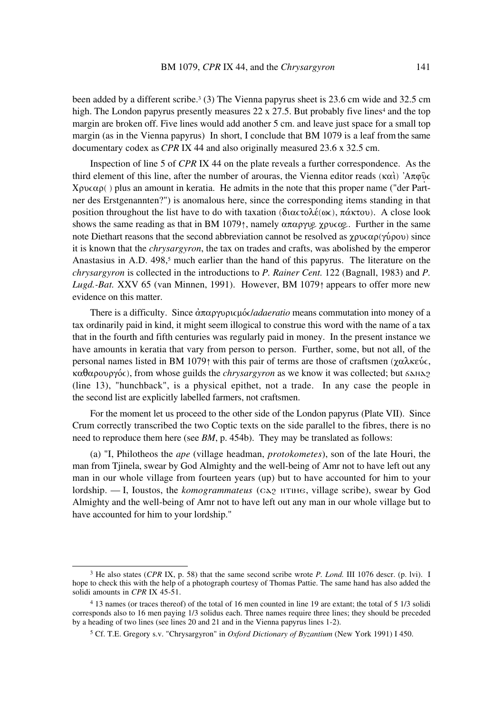been added by a different scribe.3 (3) The Vienna papyrus sheet is 23.6 cm wide and 32.5 cm high. The London papyrus presently measures  $22 \times 27.5$ . But probably five lines<sup>4</sup> and the top margin are broken off. Five lines would add another 5 cm. and leave just space for a small top margin (as in the Vienna papyrus) In short, I conclude that BM 1079 is a leaf from the same documentary codex as *CPR* IX 44 and also originally measured 23.6 x 32.5 cm.

Inspection of line 5 of *CPR* IX 44 on the plate reveals a further correspondence. As the third element of this line, after the number of arouras, the Vienna editor reads ( $\kappa \alpha \dot{\iota}$ ) 'A $\pi \varphi \delta c$  $X\rho\nu c\alpha\rho$  ) plus an amount in keratia. He admits in the note that this proper name ("der Partner des Erstgenannten?") is anomalous here, since the corresponding items standing in that position throughout the list have to do with taxation ( $\delta$ ιαςτολέ(ως), πάκτου). A close look shows the same reading as that in BM 1079↑, namely  $\alpha \pi \alpha \rho \gamma \nu \rho \gamma$   $\gamma \rho \nu \alpha \rho$ . Further in the same note Diethart reasons that the second abbreviation cannot be resolved as  $\chi \rho \nu c \alpha \rho(\gamma \nu \rho \sigma \nu)$  since it is known that the *chrysargyron*, the tax on trades and crafts, was abolished by the emperor Anastasius in A.D. 498,<sup>5</sup> much earlier than the hand of this papyrus. The literature on the *chrysargyron* is collected in the introductions to *P. Rainer Cent.* 122 (Bagnall, 1983) and *P. Lugd.-Bat.* XXV 65 (van Minnen, 1991). However, BM 1079↑ appears to offer more new evidence on this matter.

There is a difficulty. Since  $\dot{\alpha} \pi \alpha \rho \gamma \nu \rho \nu \alpha \beta / \alpha$ *daeratio* means commutation into money of a tax ordinarily paid in kind, it might seem illogical to construe this word with the name of a tax that in the fourth and fifth centuries was regularly paid in money. In the present instance we have amounts in keratia that vary from person to person. Further, some, but not all, of the personal names listed in BM 1079↑ with this pair of terms are those of craftsmen ( $\gamma \alpha \lambda \kappa \epsilon \nu \epsilon$ ).  $\kappa \alpha \theta \alpha \rho \partial \rho \gamma \delta c$ , from whose guilds the *chrysargyron* as we know it was collected; but  $\delta \Delta N \Delta p$ (line 13), "hunchback", is a physical epithet, not a trade. In any case the people in the second list are explicitly labelled farmers, not craftsmen.

For the moment let us proceed to the other side of the London papyrus (Plate VII). Since Crum correctly transcribed the two Coptic texts on the side parallel to the fibres, there is no need to reproduce them here (see *BM*, p. 454b). They may be translated as follows:

(a) "I, Philotheos the *ape* (village headman, *protokometes*), son of the late Houri, the man from Tjinela, swear by God Almighty and the well-being of Amr not to have left out any man in our whole village from fourteen years (up) but to have accounted for him to your lordship. — I, Ioustos, the *komogrammateus* (CA<sub>2</sub> H and not village scribe), swear by God Almighty and the well-being of Amr not to have left out any man in our whole village but to have accounted for him to your lordship."

<sup>3</sup> He also states (*CPR* IX, p. 58) that the same second scribe wrote *P. Lond.* III 1076 descr. (p. lvi). I hope to check this with the help of a photograph courtesy of Thomas Pattie. The same hand has also added the solidi amounts in *CPR* IX 45-51.

<sup>4 13</sup> names (or traces thereof) of the total of 16 men counted in line 19 are extant; the total of 5 1/3 solidi corresponds also to 16 men paying 1/3 solidus each. Three names require three lines; they should be preceded by a heading of two lines (see lines 20 and 21 and in the Vienna papyrus lines 1-2).

<sup>5</sup> Cf. T.E. Gregory s.v. "Chrysargyron" in *Oxford Dictionary of Byzantium* (New York 1991) I 450.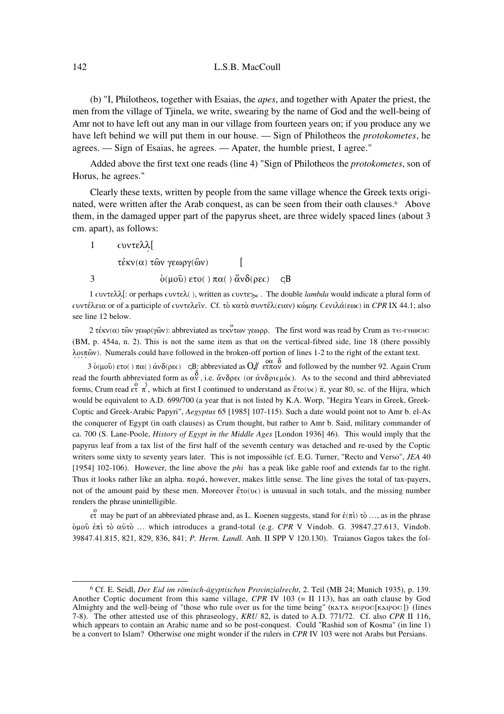## 142 L.S.B. MacCoull

(b) "I, Philotheos, together with Esaias, the *apes*, and together with Apater the priest, the men from the village of Tjinela, we write, swearing by the name of God and the well-being of Amr not to have left out any man in our village from fourteen years on; if you produce any we have left behind we will put them in our house. — Sign of Philotheos the *protokometes*, he agrees. — Sign of Esaias, he agrees. — Apater, the humble priest, I agree."

Added above the first text one reads (line 4) "Sign of Philotheos the *protokometes*, son of Horus, he agrees."

Clearly these texts, written by people from the same village whence the Greek texts originated, were written after the Arab conquest, as can be seen from their oath clauses.<sup>6</sup> Above them, in the damaged upper part of the papyrus sheet, are three widely spaced lines (about 3 cm. apart), as follows:

 $1$   $\text{cov}$  $\text{rank}$ 

 $\tau$ έκν(α) τῶν γεωργ(ῶν) [

3  $\dot{\delta}(\mu \hat{\nu}) \epsilon \tau \hat{\nu}$  ( )  $\pi \alpha$  ( )  $\ddot{\alpha} \nu \delta(\rho \epsilon \epsilon)$  qB

1  $\text{cov}(\hat{\lambda})$ : or perhaps  $\text{cov}(\hat{\lambda})$ , written as  $\text{cov}(\hat{\lambda})$ . The double *lambda* would indicate a plural form of  $\text{cov}$ τέλεια or of a participle of  $\text{cov}$ τελεῖν. Cf. τὸ κατὰ συντέλ(ειαν) κώμης  $\text{Cev}$ ιλά(εως) in *CPR* IX 44.1; also see line 12 below.

2 τέκν(α) τῶν γεωρ(γῶν): abbreviated as τεκντων γεωρρ. The first word was read by Crum as  $\tau$ e-rnwcic (BM, p. 454a, n. 2). This is not the same item as that on the vertical-fibred side, line 18 (there possibly  $\lambda$ o $\iota\pi$  (a). Numerals could have followed in the broken-off portion of lines 1-2 to the right of the extant text.

3 ο (μού) ετο() πα() ανδ(ρες) qB: abbreviated as  $O\sqrt{/}$  ετπαν and followed by the number 92. Again Crum read the fourth abbreviated form as  $\alpha \overrightarrow{v}$ , i.e.  $\alpha \overrightarrow{v}$  (or  $\alpha \overrightarrow{v}$ )  $\alpha$ . As to the second and third abbreviated forms, Crum read  $e^{\alpha}$   $\pi$ , which at first I continued to understand as  $\ell^*(\alpha \cup \alpha)$ , year 80, sc. of the Hijra, which would be equivalent to A.D. 699/700 (a year that is not listed by K.A. Worp, "Hegira Years in Greek, Greek-Coptic and Greek-Arabic Papyri", *Aegyptus* 65 [1985] 107-115). Such a date would point not to Amr b. el-As the conquerer of Egypt (in oath clauses) as Crum thought, but rather to Amr b. Said, military commander of ca. 700 (S. Lane-Poole, *History of Egypt in the Middle Ages* [London 1936] 46). This would imply that the papyrus leaf from a tax list of the first half of the seventh century was detached and re-used by the Coptic writers some sixty to seventy years later. This is not impossible (cf. E.G. Turner, "Recto and Verso", *JEA* 40 [1954] 102-106). However, the line above the *phi* has a peak like gable roof and extends far to the right. Thus it looks rather like an alpha.  $\pi\alpha\rho\dot{\alpha}$ , however, makes little sense. The line gives the total of tax-payers, not of the amount paid by these men. Moreover  $\zeta_0(v)$  is unusual in such totals, and the missing number renders the phrase unintelligible.

 $\frac{0}{\epsilon \tau}$  may be part of an abbreviated phrase and, as L. Koenen suggests, stand for  $\dot{\epsilon}(\pi i)$  tò ..., as in the phrase ımoË §p‹ tÚ aÈtÚ … which introduces a grand-total (e.g. *CPR* V Vindob. G. 39847.27.613, Vindob. 39847.41.815, 821, 829, 836, 841; *P. Herm. Landl.* Anh. II SPP V 120.130). Traianos Gagos takes the fol-

<sup>6</sup> Cf. E. Seidl, *Der Eid im römisch-ägyptischen Provinzialrecht*, 2. Teil (MB 24; Munich 1935), p. 139. Another Coptic document from this same village, *CPR* IV 103 (= II 113), has an oath clause by God Almighty and the well-being of "those who rule over us for the time being" (KATA KEPOC[KAIPOC]) (lines 7-8). The other attested use of this phraseology, *KRU* 82, is dated to A.D. 771/72. Cf. also *CPR* II 116, which appears to contain an Arabic name and so be post-conquest. Could "Rashid son of Kosma" (in line 1) be a convert to Islam? Otherwise one might wonder if the rulers in *CPR* IV 103 were not Arabs but Persians.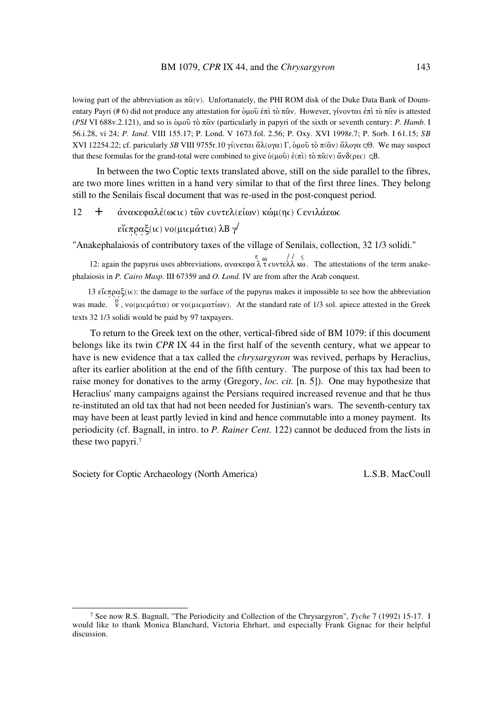lowing part of the abbreviation as  $\pi \hat{\alpha}(v)$ . Unfortanately, the PHI ROM disk of the Duke Data Bank of Doumentary Payri (#6) did not produce any attestation for δικού επι το πάν. However, γίνονται επι το πάν is attested (PSI VI 688v.2.121), and so is όμοῦ τὸ πῶν (particularly in papyri of the sixth or seventh century: P. Hamb. I 56.i.28, vi 24; P. Iand. VIII 155.17; P. Lond. V 1673.fol. 2.56; P. Oxy. XVI 1998r.7; P. Sorb. I 61.15; SB XVI 12254.22; cf. paricularly SB VIII 9755r.10 γί(νεται ἄλ(ογα) Γ, ὁμοῦ τὸ π( $\hat{\alpha}$ ν) ἄλογα cΘ. We may suspect that these formulas for the grand-total were combined to give  $\dot{\phi}(\mu \omega \hat{v}) \dot{\epsilon}(\pi \hat{t}) \tau \dot{\alpha} \pi \hat{\alpha}(v) \ddot{\alpha} \nu \delta(\rho \epsilon c)$  cB.

In between the two Coptic texts translated above, still on the side parallel to the fibres, are two more lines written in a hand very similar to that of the first three lines. They belong still to the Senilais fiscal document that was re-used in the post-conquest period.

 $+$ 12 άνακεφαλέ(ω τις) των τυντελ(είων) κώμ(ης) ζενιλάεως

εἴ σπραξ(ις) νο (μις μάτια) λΒ γ

"Anakephalaiosis of contributory taxes of the village of Senilais, collection, 32 1/3 solidi."

12: again the papyrus uses abbreviations, ανακεφαλτ cυντελλ κω. The attestations of the term anakephalaiosis in P. Cairo Masp. III 67359 and O. Lond. IV are from after the Arab conquest.

13  $\epsilon\zeta\zeta(\kappa)$ : the damage to the surface of the papyrus makes it impossible to see how the abbreviation was made. <sup>0</sup> , νο(μις μάτια) or νο(μις ματίων). At the standard rate of 1/3 sol. apiece attested in the Greek texts 32 1/3 solidi would be paid by 97 taxpayers.

To return to the Greek text on the other, vertical-fibred side of BM 1079: if this document belongs like its twin CPR IX 44 in the first half of the seventh century, what we appear to have is new evidence that a tax called the *chrysargyron* was revived, perhaps by Heraclius, after its earlier abolition at the end of the fifth century. The purpose of this tax had been to raise money for donatives to the army (Gregory, *loc. cit.* [n. 5]). One may hypothesize that Heraclius' many campaigns against the Persians required increased revenue and that he thus re-instituted an old tax that had not been needed for Justinian's wars. The seventh-century tax may have been at least partly levied in kind and hence commutable into a money payment. Its periodicity (cf. Bagnall, in intro. to P. Rainer Cent. 122) cannot be deduced from the lists in these two papyri.<sup>7</sup>

Society for Coptic Archaeology (North America)

L.S.B. MacCoull

<sup>&</sup>lt;sup>7</sup> See now R.S. Bagnall, "The Periodicity and Collection of the Chrysargyron", *Tyche* 7 (1992) 15-17. I would like to thank Monica Blanchard, Victoria Ehrhart, and especially Frank Gignac for their helpful discussion.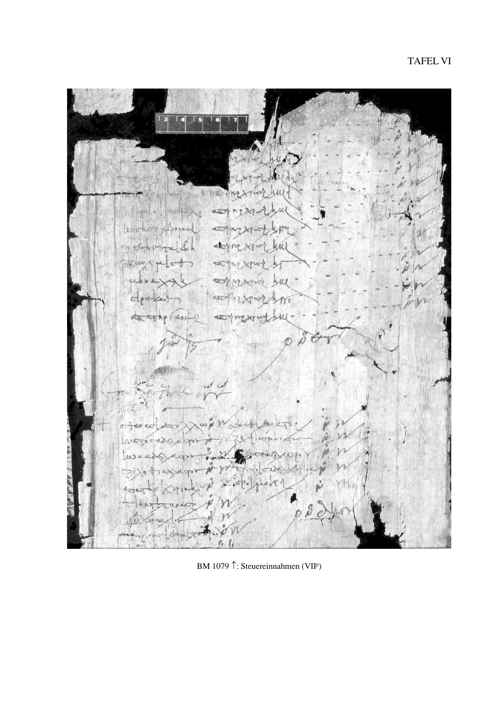中平湖 n ä  $\alpha_{\bar{a}}$  $d\overline{\omega}$  $d$ ek ¢r. de  $\alpha$ **AMAR** 

BM 1079 <sup>1</sup>: Steuereinnahmen (VII<sup>P</sup>)